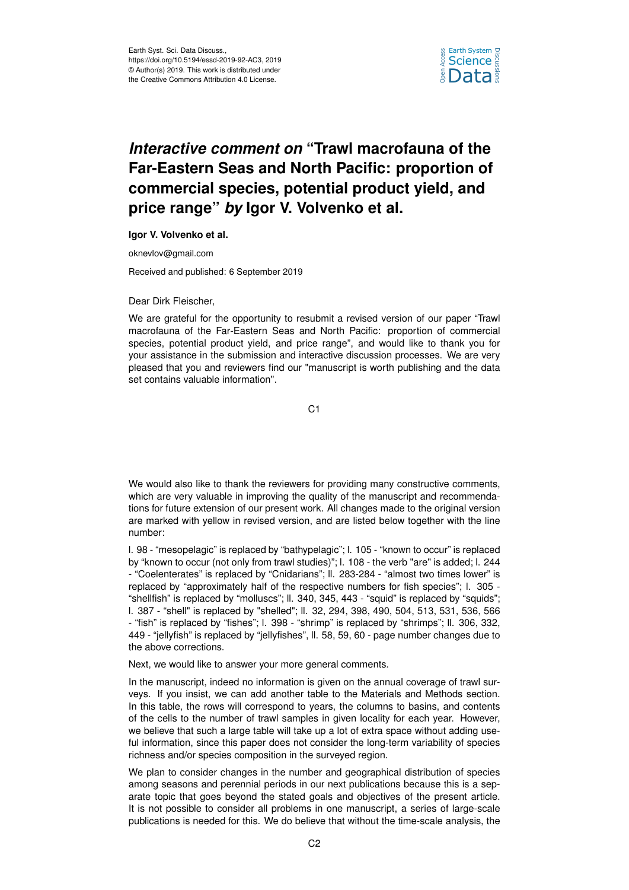

## *Interactive comment on* **"Trawl macrofauna of the Far-Eastern Seas and North Pacific: proportion of commercial species, potential product yield, and price range"** *by* **Igor V. Volvenko et al.**

**Igor V. Volvenko et al.**

oknevlov@gmail.com

Received and published: 6 September 2019

Dear Dirk Fleischer,

We are grateful for the opportunity to resubmit a revised version of our paper "Trawl macrofauna of the Far-Eastern Seas and North Pacific: proportion of commercial species, potential product yield, and price range", and would like to thank you for your assistance in the submission and interactive discussion processes. We are very pleased that you and reviewers find our "manuscript is worth publishing and the data set contains valuable information".

C1

We would also like to thank the reviewers for providing many constructive comments, which are very valuable in improving the quality of the manuscript and recommendations for future extension of our present work. All changes made to the original version are marked with yellow in revised version, and are listed below together with the line number:

l. 98 - "mesopelagic" is replaced by "bathypelagic"; l. 105 - "known to occur" is replaced by "known to occur (not only from trawl studies)"; l. 108 - the verb "are" is added; l. 244 - "Coelenterates" is replaced by "Cnidarians"; ll. 283-284 - "almost two times lower" is replaced by "approximately half of the respective numbers for fish species"; l. 305 - "shellfish" is replaced by "molluscs"; ll. 340, 345, 443 - "squid" is replaced by "squids"; l. 387 - "shell" is replaced by "shelled"; ll. 32, 294, 398, 490, 504, 513, 531, 536, 566 - "fish" is replaced by "fishes"; l. 398 - "shrimp" is replaced by "shrimps"; ll. 306, 332, 449 - "jellyfish" is replaced by "jellyfishes", ll. 58, 59, 60 - page number changes due to the above corrections.

Next, we would like to answer your more general comments.

In the manuscript, indeed no information is given on the annual coverage of trawl surveys. If you insist, we can add another table to the Materials and Methods section. In this table, the rows will correspond to years, the columns to basins, and contents of the cells to the number of trawl samples in given locality for each year. However, we believe that such a large table will take up a lot of extra space without adding useful information, since this paper does not consider the long-term variability of species richness and/or species composition in the surveyed region.

We plan to consider changes in the number and geographical distribution of species among seasons and perennial periods in our next publications because this is a separate topic that goes beyond the stated goals and objectives of the present article. It is not possible to consider all problems in one manuscript, a series of large-scale publications is needed for this. We do believe that without the time-scale analysis, the